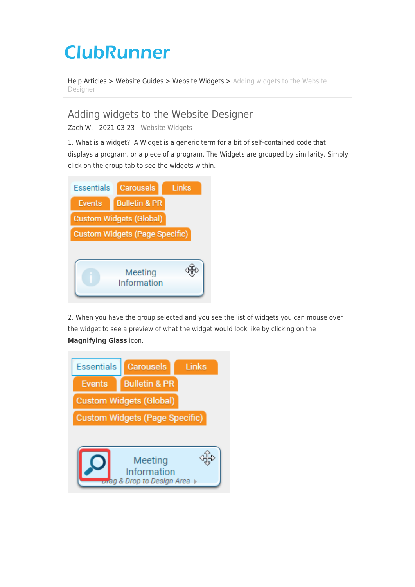## **ClubRunner**

[Help Articles](https://www.clubrunnersupport.com/kb) > [Website Guides](https://www.clubrunnersupport.com/kb/website-guides) > [Website Widgets](https://www.clubrunnersupport.com/kb/website-widgets) > [Adding widgets to the Website](https://www.clubrunnersupport.com/kb/articles/adding-widgets-to-the-website-designer) [Designer](https://www.clubrunnersupport.com/kb/articles/adding-widgets-to-the-website-designer)

## Adding widgets to the Website Designer

Zach W. - 2021-03-23 - [Website Widgets](https://www.clubrunnersupport.com/kb/website-widgets)

1. What is a widget? A Widget is a generic term for a bit of self-contained code that displays a program, or a piece of a program. The Widgets are grouped by similarity. Simply click on the group tab to see the widgets within.



2. When you have the group selected and you see the list of widgets you can mouse over the widget to see a preview of what the widget would look like by clicking on the **Magnifying Glass** icon.

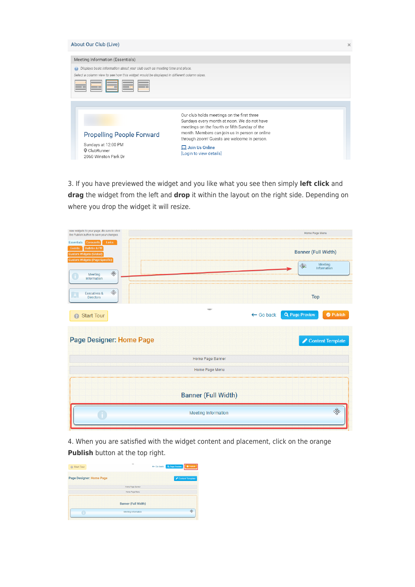| About Our Club (Live)                                                                                                                                                                                                         |                                                                                                                                                                                                                                                                                                 | × |
|-------------------------------------------------------------------------------------------------------------------------------------------------------------------------------------------------------------------------------|-------------------------------------------------------------------------------------------------------------------------------------------------------------------------------------------------------------------------------------------------------------------------------------------------|---|
| Meeting Information (Essentials)<br>Displays basic information about your club such as meeting time and place.<br>$\circledcirc$<br>Select a column view to see how this widget would be displayed in different column sizes. |                                                                                                                                                                                                                                                                                                 |   |
| <b>Propelling People Forward</b><br>Sundays at 12:00 PM<br>ClubRunner<br>2060 Winston Park Dr                                                                                                                                 | Our club holds meetings on the first three<br>Sundays every month at noon. We do not have<br>meetings on the fourth or fifth Sunday of the<br>month. Members can join us in person or online<br>through zoom! Guests are welcome in person.<br>$\Box$ Join Us Online<br>[Login to view details] |   |

3. If you have previewed the widget and you like what you see then simply **left click** and **drag** the widget from the left and **drop** it within the layout on the right side. Depending on where you drop the widget it will resize.

| new widgets to your page. Be sure to click<br>the Publish button to save your changes.                                 | Home Page Menu                                                    |
|------------------------------------------------------------------------------------------------------------------------|-------------------------------------------------------------------|
| <b>Essentials</b><br><b>Carousels</b><br>Links<br>Events<br><b>Bulletin &amp; PR</b><br><b>Custom Widgets (Global)</b> | <b>Banner (Full Width)</b>                                        |
| <b>Custom Widgets (Page Specific)</b><br>$\frac{\partial \Phi}{\partial y}$<br>Meeting<br><b>Information</b>           | Meeting<br>锻<br>Information                                       |
| $\frac{d^2}{dy^2}$<br><b>Executives &amp;</b><br><b>Directors</b>                                                      | <b>Top</b>                                                        |
| <b>Start Tour</b><br>Ø                                                                                                 | <b>Q</b> Page Preview<br>$\leftarrow$ Go back<br><b>O</b> Publish |
| Page Designer: Home Page                                                                                               | $\triangle$ Content Template                                      |
|                                                                                                                        | <b>Home Page Banner</b>                                           |
|                                                                                                                        | Home Page Menu                                                    |
|                                                                                                                        | <b>Banner (Full Width)</b>                                        |
|                                                                                                                        | 飯<br><b>Meeting Information</b>                                   |

4. When you are satisfied with the widget content and placement, click on the orange **Publish** button at the top right.

| <b>@</b> Start Tour      | -                          | ← Go back Q Page Preview<br><b>O</b> Publish |
|--------------------------|----------------------------|----------------------------------------------|
| Page Designer: Home Page |                            | Content Template                             |
|                          | Home Page Banner           |                                              |
|                          | Home Page Menu             |                                              |
|                          | <b>Banner (Full Width)</b> |                                              |
|                          | Meeting Information        |                                              |